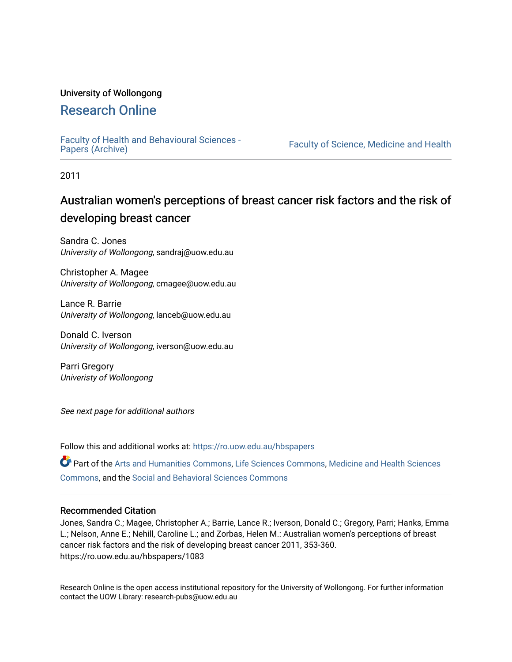# University of Wollongong

# [Research Online](https://ro.uow.edu.au/)

[Faculty of Health and Behavioural Sciences -](https://ro.uow.edu.au/hbspapers)<br>Papers (Archive)

Faculty of Science, Medicine and Health

2011

# Australian women's perceptions of breast cancer risk factors and the risk of developing breast cancer

Sandra C. Jones University of Wollongong, sandraj@uow.edu.au

Christopher A. Magee University of Wollongong, cmagee@uow.edu.au

Lance R. Barrie University of Wollongong, lanceb@uow.edu.au

Donald C. Iverson University of Wollongong, iverson@uow.edu.au

Parri Gregory Univeristy of Wollongong

See next page for additional authors

Follow this and additional works at: [https://ro.uow.edu.au/hbspapers](https://ro.uow.edu.au/hbspapers?utm_source=ro.uow.edu.au%2Fhbspapers%2F1083&utm_medium=PDF&utm_campaign=PDFCoverPages) 

Part of the [Arts and Humanities Commons,](http://network.bepress.com/hgg/discipline/438?utm_source=ro.uow.edu.au%2Fhbspapers%2F1083&utm_medium=PDF&utm_campaign=PDFCoverPages) [Life Sciences Commons,](http://network.bepress.com/hgg/discipline/1016?utm_source=ro.uow.edu.au%2Fhbspapers%2F1083&utm_medium=PDF&utm_campaign=PDFCoverPages) [Medicine and Health Sciences](http://network.bepress.com/hgg/discipline/648?utm_source=ro.uow.edu.au%2Fhbspapers%2F1083&utm_medium=PDF&utm_campaign=PDFCoverPages) [Commons](http://network.bepress.com/hgg/discipline/648?utm_source=ro.uow.edu.au%2Fhbspapers%2F1083&utm_medium=PDF&utm_campaign=PDFCoverPages), and the [Social and Behavioral Sciences Commons](http://network.bepress.com/hgg/discipline/316?utm_source=ro.uow.edu.au%2Fhbspapers%2F1083&utm_medium=PDF&utm_campaign=PDFCoverPages)

#### Recommended Citation

Jones, Sandra C.; Magee, Christopher A.; Barrie, Lance R.; Iverson, Donald C.; Gregory, Parri; Hanks, Emma L.; Nelson, Anne E.; Nehill, Caroline L.; and Zorbas, Helen M.: Australian women's perceptions of breast cancer risk factors and the risk of developing breast cancer 2011, 353-360. https://ro.uow.edu.au/hbspapers/1083

Research Online is the open access institutional repository for the University of Wollongong. For further information contact the UOW Library: research-pubs@uow.edu.au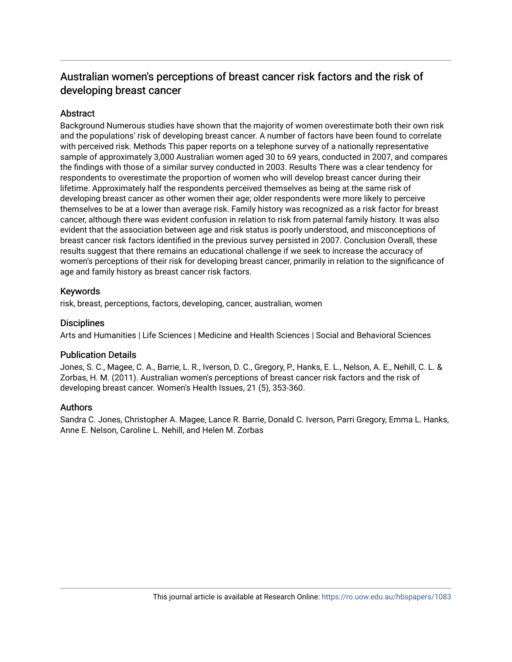# Australian women's perceptions of breast cancer risk factors and the risk of developing breast cancer

# **Abstract**

Background Numerous studies have shown that the majority of women overestimate both their own risk and the populations' risk of developing breast cancer. A number of factors have been found to correlate with perceived risk. Methods This paper reports on a telephone survey of a nationally representative sample of approximately 3,000 Australian women aged 30 to 69 years, conducted in 2007, and compares the findings with those of a similar survey conducted in 2003. Results There was a clear tendency for respondents to overestimate the proportion of women who will develop breast cancer during their lifetime. Approximately half the respondents perceived themselves as being at the same risk of developing breast cancer as other women their age; older respondents were more likely to perceive themselves to be at a lower than average risk. Family history was recognized as a risk factor for breast cancer, although there was evident confusion in relation to risk from paternal family history. It was also evident that the association between age and risk status is poorly understood, and misconceptions of breast cancer risk factors identified in the previous survey persisted in 2007. Conclusion Overall, these results suggest that there remains an educational challenge if we seek to increase the accuracy of women's perceptions of their risk for developing breast cancer, primarily in relation to the significance of age and family history as breast cancer risk factors.

# Keywords

risk, breast, perceptions, factors, developing, cancer, australian, women

## **Disciplines**

Arts and Humanities | Life Sciences | Medicine and Health Sciences | Social and Behavioral Sciences

# Publication Details

Jones, S. C., Magee, C. A., Barrie, L. R., Iverson, D. C., Gregory, P., Hanks, E. L., Nelson, A. E., Nehill, C. L. & Zorbas, H. M. (2011). Australian women's perceptions of breast cancer risk factors and the risk of developing breast cancer. Women's Health Issues, 21 (5), 353-360.

# Authors

Sandra C. Jones, Christopher A. Magee, Lance R. Barrie, Donald C. Iverson, Parri Gregory, Emma L. Hanks, Anne E. Nelson, Caroline L. Nehill, and Helen M. Zorbas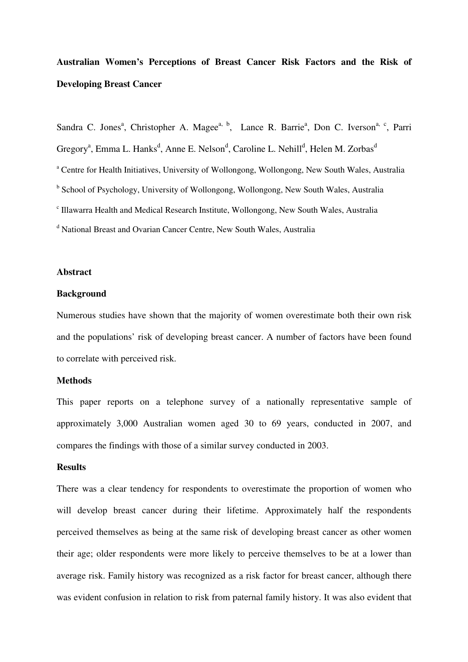# **Australian Women's Perceptions of Breast Cancer Risk Factors and the Risk of Developing Breast Cancer**

Sandra C. Jones<sup>a</sup>, Christopher A. Magee<sup>a, b</sup>, Lance R. Barrie<sup>a</sup>, Don C. Iverson<sup>a, c</sup>, Parri Gregory<sup>a</sup>, Emma L. Hanks<sup>d</sup>, Anne E. Nelson<sup>d</sup>, Caroline L. Nehill<sup>d</sup>, Helen M. Zorbas<sup>d</sup> <sup>a</sup> Centre for Health Initiatives, University of Wollongong, Wollongong, New South Wales, Australia <sup>b</sup> School of Psychology, University of Wollongong, Wollongong, New South Wales, Australia c Illawarra Health and Medical Research Institute, Wollongong, New South Wales, Australia <sup>d</sup> National Breast and Ovarian Cancer Centre, New South Wales, Australia

# **Abstract**

#### **Background**

Numerous studies have shown that the majority of women overestimate both their own risk and the populations' risk of developing breast cancer. A number of factors have been found to correlate with perceived risk.

# **Methods**

This paper reports on a telephone survey of a nationally representative sample of approximately 3,000 Australian women aged 30 to 69 years, conducted in 2007, and compares the findings with those of a similar survey conducted in 2003.

#### **Results**

There was a clear tendency for respondents to overestimate the proportion of women who will develop breast cancer during their lifetime. Approximately half the respondents perceived themselves as being at the same risk of developing breast cancer as other women their age; older respondents were more likely to perceive themselves to be at a lower than average risk. Family history was recognized as a risk factor for breast cancer, although there was evident confusion in relation to risk from paternal family history. It was also evident that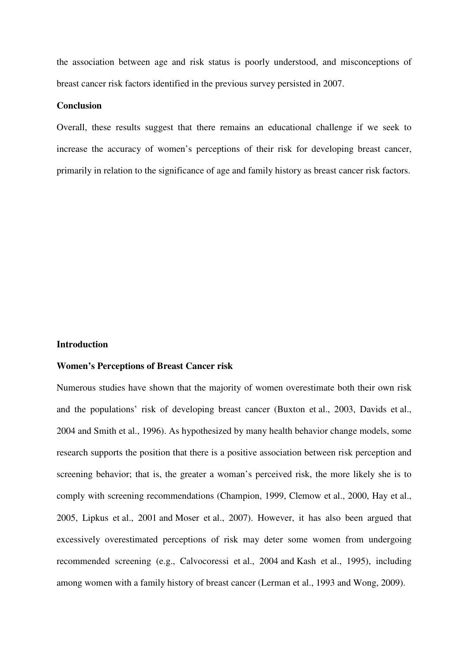the association between age and risk status is poorly understood, and misconceptions of breast cancer risk factors identified in the previous survey persisted in 2007.

#### **Conclusion**

Overall, these results suggest that there remains an educational challenge if we seek to increase the accuracy of women's perceptions of their risk for developing breast cancer, primarily in relation to the significance of age and family history as breast cancer risk factors.

#### **Introduction**

## **Women's Perceptions of Breast Cancer risk**

Numerous studies have shown that the majority of women overestimate both their own risk and the populations' risk of developing breast cancer (Buxton et al., 2003, Davids et al., 2004 and Smith et al., 1996). As hypothesized by many health behavior change models, some research supports the position that there is a positive association between risk perception and screening behavior; that is, the greater a woman's perceived risk, the more likely she is to comply with screening recommendations (Champion, 1999, Clemow et al., 2000, Hay et al., 2005, Lipkus et al., 2001 and Moser et al., 2007). However, it has also been argued that excessively overestimated perceptions of risk may deter some women from undergoing recommended screening (e.g., Calvocoressi et al., 2004 and Kash et al., 1995), including among women with a family history of breast cancer (Lerman et al., 1993 and Wong, 2009).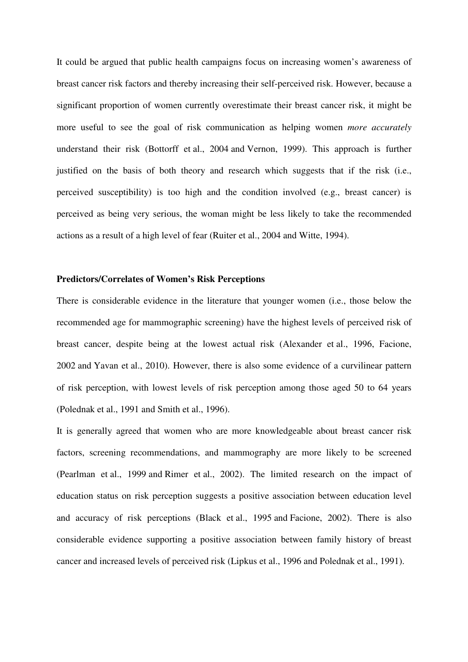It could be argued that public health campaigns focus on increasing women's awareness of breast cancer risk factors and thereby increasing their self-perceived risk. However, because a significant proportion of women currently overestimate their breast cancer risk, it might be more useful to see the goal of risk communication as helping women *more accurately* understand their risk (Bottorff et al., 2004 and Vernon, 1999). This approach is further justified on the basis of both theory and research which suggests that if the risk (i.e., perceived susceptibility) is too high and the condition involved (e.g., breast cancer) is perceived as being very serious, the woman might be less likely to take the recommended actions as a result of a high level of fear (Ruiter et al., 2004 and Witte, 1994).

## **Predictors/Correlates of Women's Risk Perceptions**

There is considerable evidence in the literature that younger women (i.e., those below the recommended age for mammographic screening) have the highest levels of perceived risk of breast cancer, despite being at the lowest actual risk (Alexander et al., 1996, Facione, 2002 and Yavan et al., 2010). However, there is also some evidence of a curvilinear pattern of risk perception, with lowest levels of risk perception among those aged 50 to 64 years (Polednak et al., 1991 and Smith et al., 1996).

It is generally agreed that women who are more knowledgeable about breast cancer risk factors, screening recommendations, and mammography are more likely to be screened (Pearlman et al., 1999 and Rimer et al., 2002). The limited research on the impact of education status on risk perception suggests a positive association between education level and accuracy of risk perceptions (Black et al., 1995 and Facione, 2002). There is also considerable evidence supporting a positive association between family history of breast cancer and increased levels of perceived risk (Lipkus et al., 1996 and Polednak et al., 1991).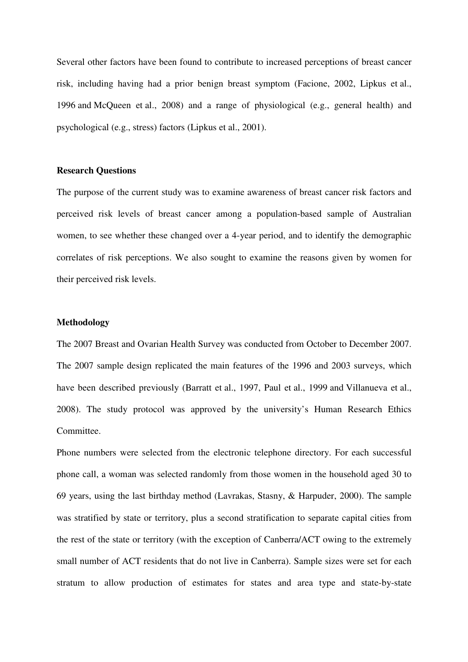Several other factors have been found to contribute to increased perceptions of breast cancer risk, including having had a prior benign breast symptom (Facione, 2002, Lipkus et al., 1996 and McQueen et al., 2008) and a range of physiological (e.g., general health) and psychological (e.g., stress) factors (Lipkus et al., 2001).

# **Research Questions**

The purpose of the current study was to examine awareness of breast cancer risk factors and perceived risk levels of breast cancer among a population-based sample of Australian women, to see whether these changed over a 4-year period, and to identify the demographic correlates of risk perceptions. We also sought to examine the reasons given by women for their perceived risk levels.

#### **Methodology**

The 2007 Breast and Ovarian Health Survey was conducted from October to December 2007. The 2007 sample design replicated the main features of the 1996 and 2003 surveys, which have been described previously (Barratt et al., 1997, Paul et al., 1999 and Villanueva et al., 2008). The study protocol was approved by the university's Human Research Ethics Committee.

Phone numbers were selected from the electronic telephone directory. For each successful phone call, a woman was selected randomly from those women in the household aged 30 to 69 years, using the last birthday method (Lavrakas, Stasny, & Harpuder, 2000). The sample was stratified by state or territory, plus a second stratification to separate capital cities from the rest of the state or territory (with the exception of Canberra/ACT owing to the extremely small number of ACT residents that do not live in Canberra). Sample sizes were set for each stratum to allow production of estimates for states and area type and state-by-state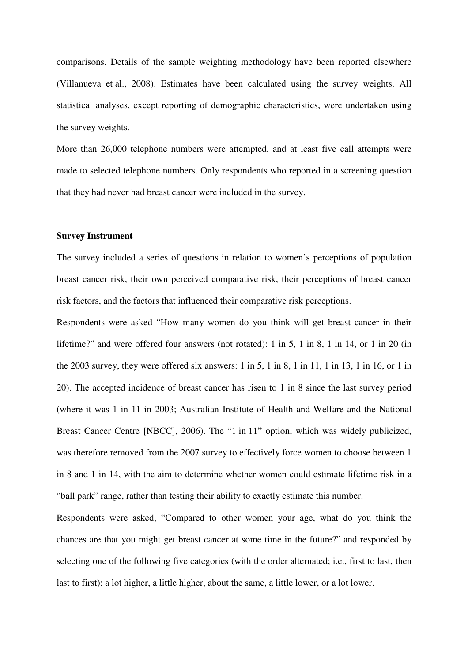comparisons. Details of the sample weighting methodology have been reported elsewhere (Villanueva et al., 2008). Estimates have been calculated using the survey weights. All statistical analyses, except reporting of demographic characteristics, were undertaken using the survey weights.

More than 26,000 telephone numbers were attempted, and at least five call attempts were made to selected telephone numbers. Only respondents who reported in a screening question that they had never had breast cancer were included in the survey.

#### **Survey Instrument**

The survey included a series of questions in relation to women's perceptions of population breast cancer risk, their own perceived comparative risk, their perceptions of breast cancer risk factors, and the factors that influenced their comparative risk perceptions.

Respondents were asked "How many women do you think will get breast cancer in their lifetime?" and were offered four answers (not rotated): 1 in 5, 1 in 8, 1 in 14, or 1 in 20 (in the 2003 survey, they were offered six answers: 1 in 5, 1 in 8, 1 in 11, 1 in 13, 1 in 16, or 1 in 20). The accepted incidence of breast cancer has risen to 1 in 8 since the last survey period (where it was 1 in 11 in 2003; Australian Institute of Health and Welfare and the National Breast Cancer Centre [NBCC], 2006). The "1 in 11" option, which was widely publicized, was therefore removed from the 2007 survey to effectively force women to choose between 1 in 8 and 1 in 14, with the aim to determine whether women could estimate lifetime risk in a "ball park" range, rather than testing their ability to exactly estimate this number.

Respondents were asked, "Compared to other women your age, what do you think the chances are that you might get breast cancer at some time in the future?" and responded by selecting one of the following five categories (with the order alternated; i.e., first to last, then last to first): a lot higher, a little higher, about the same, a little lower, or a lot lower.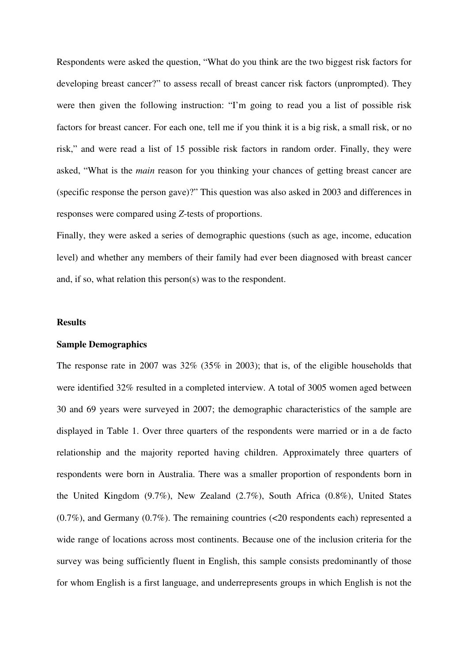Respondents were asked the question, "What do you think are the two biggest risk factors for developing breast cancer?" to assess recall of breast cancer risk factors (unprompted). They were then given the following instruction: "I'm going to read you a list of possible risk factors for breast cancer. For each one, tell me if you think it is a big risk, a small risk, or no risk," and were read a list of 15 possible risk factors in random order. Finally, they were asked, "What is the *main* reason for you thinking your chances of getting breast cancer are (specific response the person gave)?" This question was also asked in 2003 and differences in responses were compared using *Z*-tests of proportions.

Finally, they were asked a series of demographic questions (such as age, income, education level) and whether any members of their family had ever been diagnosed with breast cancer and, if so, what relation this person(s) was to the respondent.

## **Results**

#### **Sample Demographics**

The response rate in 2007 was 32% (35% in 2003); that is, of the eligible households that were identified 32% resulted in a completed interview. A total of 3005 women aged between 30 and 69 years were surveyed in 2007; the demographic characteristics of the sample are displayed in Table 1. Over three quarters of the respondents were married or in a de facto relationship and the majority reported having children. Approximately three quarters of respondents were born in Australia. There was a smaller proportion of respondents born in the United Kingdom (9.7%), New Zealand (2.7%), South Africa (0.8%), United States (0.7%), and Germany (0.7%). The remaining countries (<20 respondents each) represented a wide range of locations across most continents. Because one of the inclusion criteria for the survey was being sufficiently fluent in English, this sample consists predominantly of those for whom English is a first language, and underrepresents groups in which English is not the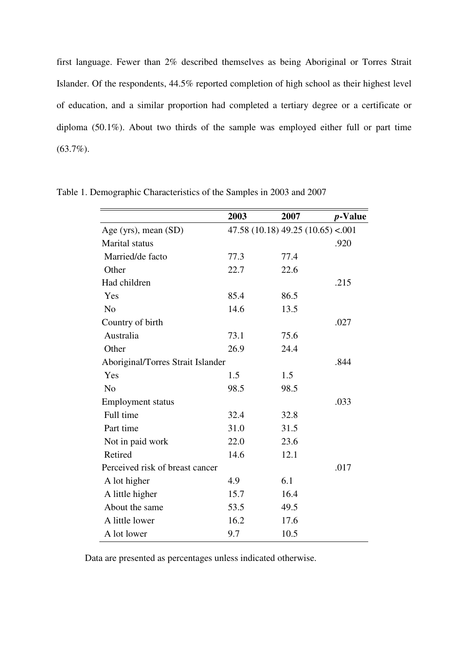first language. Fewer than 2% described themselves as being Aboriginal or Torres Strait Islander. Of the respondents, 44.5% reported completion of high school as their highest level of education, and a similar proportion had completed a tertiary degree or a certificate or diploma (50.1%). About two thirds of the sample was employed either full or part time (63.7%).

|                                   | 2003 | 2007                            | <i>p</i> -Value |
|-----------------------------------|------|---------------------------------|-----------------|
| Age (yrs), mean $(SD)$            |      | 47.58(10.18)49.25(10.65) < .001 |                 |
| <b>Marital</b> status             |      |                                 | .920            |
| Married/de facto                  | 77.3 | 77.4                            |                 |
| Other                             | 22.7 | 22.6                            |                 |
| Had children                      |      |                                 | .215            |
| Yes                               | 85.4 | 86.5                            |                 |
| N <sub>o</sub>                    | 14.6 | 13.5                            |                 |
| Country of birth                  |      |                                 | .027            |
| Australia                         | 73.1 | 75.6                            |                 |
| Other                             | 26.9 | 24.4                            |                 |
| Aboriginal/Torres Strait Islander |      |                                 | .844            |
| Yes                               | 1.5  | 1.5                             |                 |
| N <sub>0</sub>                    | 98.5 | 98.5                            |                 |
| <b>Employment status</b>          |      |                                 | .033            |
| Full time                         | 32.4 | 32.8                            |                 |
| Part time                         | 31.0 | 31.5                            |                 |
| Not in paid work                  | 22.0 | 23.6                            |                 |
| Retired                           | 14.6 | 12.1                            |                 |
| Perceived risk of breast cancer   |      |                                 | .017            |
| A lot higher                      | 4.9  | 6.1                             |                 |
| A little higher                   | 15.7 | 16.4                            |                 |
| About the same                    | 53.5 | 49.5                            |                 |
| A little lower                    | 16.2 | 17.6                            |                 |
| A lot lower                       | 9.7  | 10.5                            |                 |

Table 1. Demographic Characteristics of the Samples in 2003 and 2007

Data are presented as percentages unless indicated otherwise.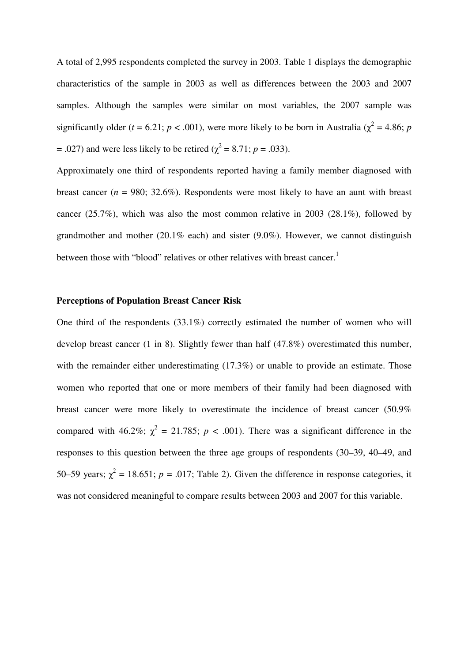A total of 2,995 respondents completed the survey in 2003. Table 1 displays the demographic characteristics of the sample in 2003 as well as differences between the 2003 and 2007 samples. Although the samples were similar on most variables, the 2007 sample was significantly older ( $t = 6.21$ ;  $p < .001$ ), were more likely to be born in Australia ( $\chi^2 = 4.86$ ;  $p$  $= .027$ ) and were less likely to be retired ( $\chi^2 = 8.71$ ;  $p = .033$ ).

Approximately one third of respondents reported having a family member diagnosed with breast cancer ( $n = 980$ ; 32.6%). Respondents were most likely to have an aunt with breast cancer (25.7%), which was also the most common relative in 2003 (28.1%), followed by grandmother and mother (20.1% each) and sister (9.0%). However, we cannot distinguish between those with "blood" relatives or other relatives with breast cancer.<sup>1</sup>

# **Perceptions of Population Breast Cancer Risk**

One third of the respondents (33.1%) correctly estimated the number of women who will develop breast cancer (1 in 8). Slightly fewer than half (47.8%) overestimated this number, with the remainder either underestimating (17.3%) or unable to provide an estimate. Those women who reported that one or more members of their family had been diagnosed with breast cancer were more likely to overestimate the incidence of breast cancer (50.9% compared with 46.2%;  $\chi^2 = 21.785$ ;  $p < .001$ ). There was a significant difference in the responses to this question between the three age groups of respondents (30–39, 40–49, and 50–59 years;  $\chi^2$  = 18.651;  $p = .017$ ; Table 2). Given the difference in response categories, it was not considered meaningful to compare results between 2003 and 2007 for this variable.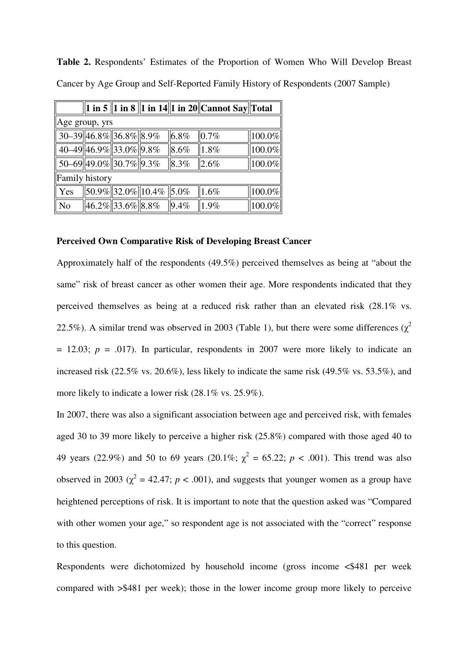**Table 2.** Respondents' Estimates of the Proportion of Women Who Will Develop Breast Cancer by Age Group and Self-Reported Family History of Respondents (2007 Sample)

|                |                                     |                                                       |      | 1 in 5   1 in 8   1 in 14  1 in 20  Cannot Say  Total |        |
|----------------|-------------------------------------|-------------------------------------------------------|------|-------------------------------------------------------|--------|
|                | Age group, yrs                      |                                                       |      |                                                       |        |
|                | 30-39 46.8% 36.8% 8.9%              |                                                       | 6.8% | 0.7%                                                  | 100.0% |
|                | 40-49 46.9% 33.0% 9.8%              |                                                       | 8.6% | 1.8%                                                  | 100.0% |
|                | $\overline{50-69}$ 49.0% 30.7% 9.3% |                                                       | 8.3% | 2.6%                                                  | 100.0% |
| Family history |                                     |                                                       |      |                                                       |        |
| Yes            |                                     | $\sqrt{\left  50.9\% \right  32.0\% }$   10.4%   5.0% |      | 1.6%                                                  | 100.0% |
| N <sub>o</sub> | $\ 46.2\% \ 33.6\% \ 8.8\%$         |                                                       | 9.4% | 1.9%                                                  | 100.0% |

#### **Perceived Own Comparative Risk of Developing Breast Cancer**

Approximately half of the respondents (49.5%) perceived themselves as being at "about the same" risk of breast cancer as other women their age. More respondents indicated that they perceived themselves as being at a reduced risk rather than an elevated risk (28.1% vs. 22.5%). A similar trend was observed in 2003 (Table 1), but there were some differences ( $\chi^2$  $= 12.03$ ;  $p = .017$ ). In particular, respondents in 2007 were more likely to indicate an increased risk (22.5% vs. 20.6%), less likely to indicate the same risk (49.5% vs. 53.5%), and more likely to indicate a lower risk (28.1% vs. 25.9%).

In 2007, there was also a significant association between age and perceived risk, with females aged 30 to 39 more likely to perceive a higher risk (25.8%) compared with those aged 40 to 49 years (22.9%) and 50 to 69 years (20.1%;  $\chi^2 = 65.22$ ;  $p < .001$ ). This trend was also observed in 2003 ( $\chi^2$  = 42.47; *p* < .001), and suggests that younger women as a group have heightened perceptions of risk. It is important to note that the question asked was "Compared with other women your age," so respondent age is not associated with the "correct" response to this question.

Respondents were dichotomized by household income (gross income <\$481 per week compared with >\$481 per week); those in the lower income group more likely to perceive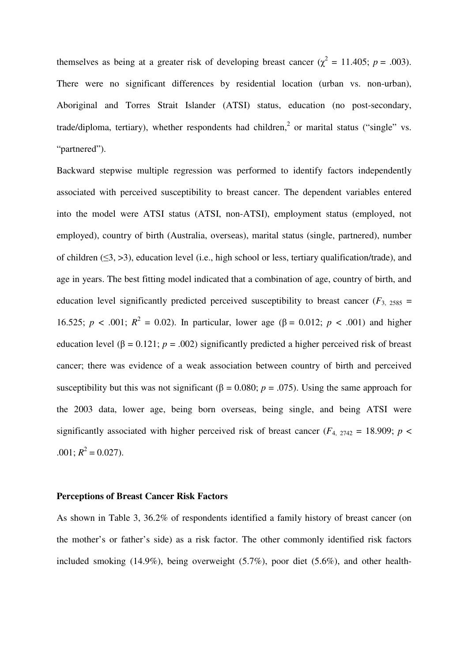themselves as being at a greater risk of developing breast cancer ( $\chi^2$  = 11.405; *p* = .003). There were no significant differences by residential location (urban vs. non-urban), Aboriginal and Torres Strait Islander (ATSI) status, education (no post-secondary, trade/diploma, tertiary), whether respondents had children,<sup>2</sup> or marital status ("single" vs. "partnered").

Backward stepwise multiple regression was performed to identify factors independently associated with perceived susceptibility to breast cancer. The dependent variables entered into the model were ATSI status (ATSI, non-ATSI), employment status (employed, not employed), country of birth (Australia, overseas), marital status (single, partnered), number of children  $(≤3, >3)$ , education level (i.e., high school or less, tertiary qualification/trade), and age in years. The best fitting model indicated that a combination of age, country of birth, and education level significantly predicted perceived susceptibility to breast cancer  $(F_{3, 2585} =$ 16.525; *p* < .001;  $R^2 = 0.02$ ). In particular, lower age (β = 0.012; *p* < .001) and higher education level ( $\beta = 0.121$ ;  $p = .002$ ) significantly predicted a higher perceived risk of breast cancer; there was evidence of a weak association between country of birth and perceived susceptibility but this was not significant ( $\beta$  = 0.080; *p* = .075). Using the same approach for the 2003 data, lower age, being born overseas, being single, and being ATSI were significantly associated with higher perceived risk of breast cancer ( $F_{4, 2742} = 18.909$ ;  $p <$  $.001; R^2 = 0.027$ .

## **Perceptions of Breast Cancer Risk Factors**

As shown in Table 3, 36.2% of respondents identified a family history of breast cancer (on the mother's or father's side) as a risk factor. The other commonly identified risk factors included smoking (14.9%), being overweight (5.7%), poor diet (5.6%), and other health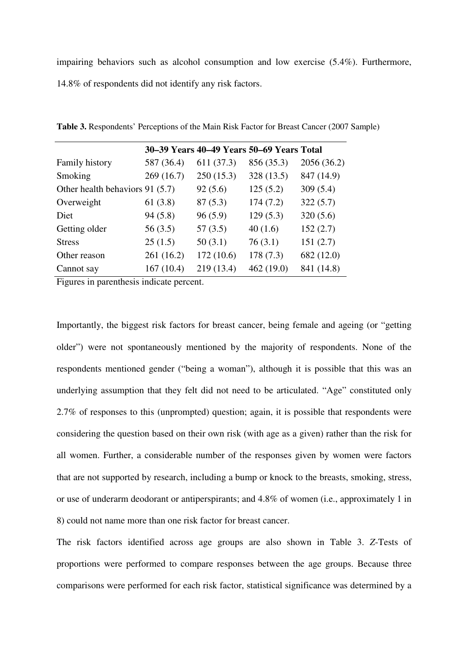impairing behaviors such as alcohol consumption and low exercise (5.4%). Furthermore, 14.8% of respondents did not identify any risk factors.

|                                 |            | 30–39 Years 40–49 Years 50–69 Years Total |            |             |
|---------------------------------|------------|-------------------------------------------|------------|-------------|
| Family history                  | 587 (36.4) | 611 (37.3)                                | 856 (35.3) | 2056 (36.2) |
| Smoking                         | 269 (16.7) | 250(15.3)                                 | 328 (13.5) | 847 (14.9)  |
| Other health behaviors 91 (5.7) |            | 92(5.6)                                   | 125(5.2)   | 309(5.4)    |
| Overweight                      | 61(3.8)    | 87(5.3)                                   | 174(7.2)   | 322(5.7)    |
| Diet                            | 94(5.8)    | 96(5.9)                                   | 129(5.3)   | 320(5.6)    |
| Getting older                   | 56(3.5)    | 57(3.5)                                   | 40(1.6)    | 152(2.7)    |
| <b>Stress</b>                   | 25(1.5)    | 50(3.1)                                   | 76(3.1)    | 151(2.7)    |
| Other reason                    | 261 (16.2) | 172(10.6)                                 | 178 (7.3)  | 682 (12.0)  |
| Cannot say                      | 167(10.4)  | 219 (13.4)                                | 462 (19.0) | 841 (14.8)  |

**Table 3.** Respondents' Perceptions of the Main Risk Factor for Breast Cancer (2007 Sample)

Figures in parenthesis indicate percent.

Importantly, the biggest risk factors for breast cancer, being female and ageing (or "getting older") were not spontaneously mentioned by the majority of respondents. None of the respondents mentioned gender ("being a woman"), although it is possible that this was an underlying assumption that they felt did not need to be articulated. "Age" constituted only 2.7% of responses to this (unprompted) question; again, it is possible that respondents were considering the question based on their own risk (with age as a given) rather than the risk for all women. Further, a considerable number of the responses given by women were factors that are not supported by research, including a bump or knock to the breasts, smoking, stress, or use of underarm deodorant or antiperspirants; and 4.8% of women (i.e., approximately 1 in 8) could not name more than one risk factor for breast cancer.

The risk factors identified across age groups are also shown in Table 3. *Z*-Tests of proportions were performed to compare responses between the age groups. Because three comparisons were performed for each risk factor, statistical significance was determined by a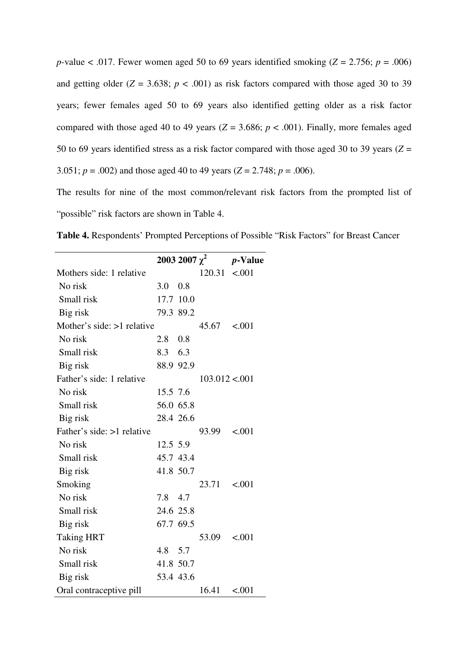*p*-value < .017. Fewer women aged 50 to 69 years identified smoking ( $Z = 2.756$ ;  $p = .006$ ) and getting older  $(Z = 3.638; p < .001)$  as risk factors compared with those aged 30 to 39 years; fewer females aged 50 to 69 years also identified getting older as a risk factor compared with those aged 40 to 49 years ( $Z = 3.686$ ;  $p < .001$ ). Finally, more females aged 50 to 69 years identified stress as a risk factor compared with those aged 30 to 39 years (*Z* = 3.051;  $p = .002$ ) and those aged 40 to 49 years ( $Z = 2.748$ ;  $p = .006$ ).

The results for nine of the most common/relevant risk factors from the prompted list of "possible" risk factors are shown in Table 4.

**Table 4.** Respondents' Prompted Perceptions of Possible "Risk Factors" for Breast Cancer

|                            |                |           | 2003 2007 $\chi^2$ | <i>p</i> -Value |
|----------------------------|----------------|-----------|--------------------|-----------------|
| Mothers side: 1 relative   |                |           | $120.31 \le 0.001$ |                 |
| No risk                    | 3.0            | 0.8       |                    |                 |
| Small risk                 |                | 17.7 10.0 |                    |                 |
| Big risk                   | 79.3 89.2      |           |                    |                 |
| Mother's side: >1 relative |                |           | 45.67 < 0.001      |                 |
| No risk                    | $2.8\quad 0.8$ |           |                    |                 |
| Small risk                 | 8.3 6.3        |           |                    |                 |
| Big risk                   |                | 88.9 92.9 |                    |                 |
| Father's side: 1 relative  |                |           | 103.012 < 001      |                 |
| No risk                    | 15.5 7.6       |           |                    |                 |
| Small risk                 | 56.0 65.8      |           |                    |                 |
| Big risk                   | 28.4 26.6      |           |                    |                 |
| Father's side: >1 relative |                |           | 93.99              | < 0.001         |
| No risk                    | 12.5 5.9       |           |                    |                 |
| Small risk                 | 45.7 43.4      |           |                    |                 |
| Big risk                   | 41.8 50.7      |           |                    |                 |
| Smoking                    |                |           | $23.71 \t < .001$  |                 |
| No risk                    | 7.8 4.7        |           |                    |                 |
| Small risk                 | 24.6 25.8      |           |                    |                 |
| Big risk                   | 67.7 69.5      |           |                    |                 |
| <b>Taking HRT</b>          |                |           | 53.09              | < 0.001         |
| No risk                    | 4.8 5.7        |           |                    |                 |
| Small risk                 | 41.8 50.7      |           |                    |                 |
| Big risk                   |                | 53.4 43.6 |                    |                 |
| Oral contraceptive pill    |                |           | 16.41              | < .001          |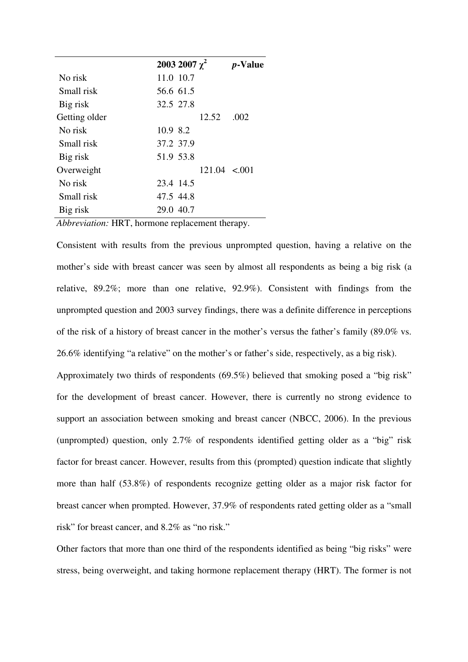|               | 2003 2007 $\chi^2$ | <i>p</i> -Value |
|---------------|--------------------|-----------------|
| No risk       | 11.0 10.7          |                 |
| Small risk    | 56.6 61.5          |                 |
| Big risk      | 32.5 27.8          |                 |
| Getting older | 12.52              | .002            |
| No risk       | 10.9 8.2           |                 |
| Small risk    | 37.2 37.9          |                 |
| Big risk      | 51.9 53.8          |                 |
| Overweight    | $121.04 \le 0.01$  |                 |
| No risk       | 23.4 14.5          |                 |
| Small risk    | 47.5 44.8          |                 |
| Big risk      | 29.0 40.7          |                 |

*Abbreviation:* HRT, hormone replacement therapy.

Consistent with results from the previous unprompted question, having a relative on the mother's side with breast cancer was seen by almost all respondents as being a big risk (a relative, 89.2%; more than one relative, 92.9%). Consistent with findings from the unprompted question and 2003 survey findings, there was a definite difference in perceptions of the risk of a history of breast cancer in the mother's versus the father's family (89.0% vs. 26.6% identifying "a relative" on the mother's or father's side, respectively, as a big risk). Approximately two thirds of respondents (69.5%) believed that smoking posed a "big risk" for the development of breast cancer. However, there is currently no strong evidence to support an association between smoking and breast cancer (NBCC, 2006). In the previous (unprompted) question, only 2.7% of respondents identified getting older as a "big" risk factor for breast cancer. However, results from this (prompted) question indicate that slightly more than half (53.8%) of respondents recognize getting older as a major risk factor for breast cancer when prompted. However, 37.9% of respondents rated getting older as a "small risk" for breast cancer, and 8.2% as "no risk."

Other factors that more than one third of the respondents identified as being "big risks" were stress, being overweight, and taking hormone replacement therapy (HRT). The former is not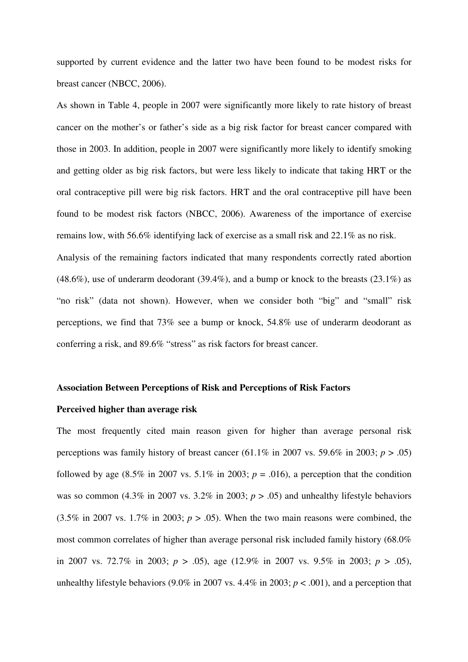supported by current evidence and the latter two have been found to be modest risks for breast cancer (NBCC, 2006).

As shown in Table 4, people in 2007 were significantly more likely to rate history of breast cancer on the mother's or father's side as a big risk factor for breast cancer compared with those in 2003. In addition, people in 2007 were significantly more likely to identify smoking and getting older as big risk factors, but were less likely to indicate that taking HRT or the oral contraceptive pill were big risk factors. HRT and the oral contraceptive pill have been found to be modest risk factors (NBCC, 2006). Awareness of the importance of exercise remains low, with 56.6% identifying lack of exercise as a small risk and 22.1% as no risk.

Analysis of the remaining factors indicated that many respondents correctly rated abortion (48.6%), use of underarm deodorant (39.4%), and a bump or knock to the breasts (23.1%) as "no risk" (data not shown). However, when we consider both "big" and "small" risk perceptions, we find that 73% see a bump or knock, 54.8% use of underarm deodorant as conferring a risk, and 89.6% "stress" as risk factors for breast cancer.

#### **Association Between Perceptions of Risk and Perceptions of Risk Factors**

## **Perceived higher than average risk**

The most frequently cited main reason given for higher than average personal risk perceptions was family history of breast cancer (61.1% in 2007 vs. 59.6% in 2003;  $p > .05$ ) followed by age  $(8.5\%$  in 2007 vs.  $5.1\%$  in 2003;  $p = .016$ ), a perception that the condition was so common  $(4.3\%$  in 2007 vs.  $3.2\%$  in 2003;  $p > .05$ ) and unhealthy lifestyle behaviors  $(3.5\%$  in 2007 vs.  $1.7\%$  in 2003;  $p > .05$ ). When the two main reasons were combined, the most common correlates of higher than average personal risk included family history (68.0% in 2007 vs. 72.7% in 2003; *p* > .05), age (12.9% in 2007 vs. 9.5% in 2003; *p* > .05), unhealthy lifestyle behaviors (9.0% in 2007 vs.  $4.4\%$  in 2003;  $p < .001$ ), and a perception that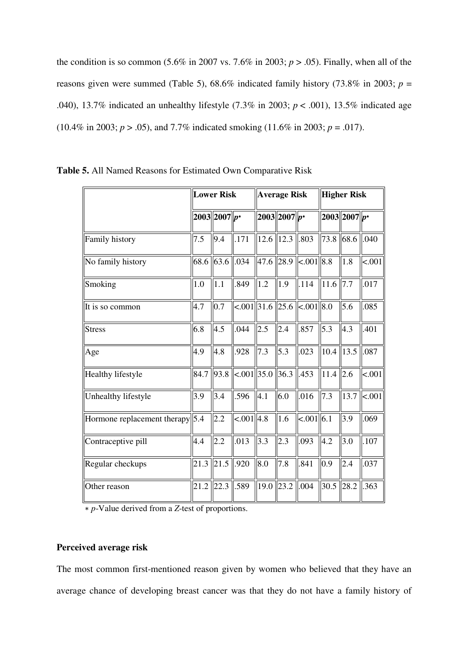the condition is so common  $(5.6\%$  in 2007 vs. 7.6% in 2003;  $p > .05$ ). Finally, when all of the reasons given were summed (Table 5),  $68.6\%$  indicated family history (73.8% in 2003; *p* = .040), 13.7% indicated an unhealthy lifestyle (7.3% in 2003; *p* < .001), 13.5% indicated age (10.4% in 2003;  $p > .05$ ), and 7.7% indicated smoking (11.6% in 2003;  $p = .017$ ).

|                                 | <b>Lower Risk</b> |                  | <b>Average Risk</b> |               |                     | <b>Higher Risk</b>                               |      |                  |         |
|---------------------------------|-------------------|------------------|---------------------|---------------|---------------------|--------------------------------------------------|------|------------------|---------|
|                                 |                   | $2003  2007  p*$ |                     |               | $ 2003   2007   p*$ |                                                  |      | $2003  2007  p*$ |         |
| Family history                  | 7.5               | 9.4              | .171                | $12.6$   12.3 |                     | .803                                             | 73.8 | 68.6             | .040    |
| No family history               | 68.6              | 63.6             | .034                | 47.6 28.9     |                     | <.001 8.8                                        |      | 1.8              | < .001  |
| Smoking                         | 1.0               | 1.1              | .849                | 1.2           | 1.9                 | .114                                             | 11.6 | 7.7              | .017    |
| It is so common                 | 4.7               | 0.7              |                     |               |                     | $\leq 0.001$   31.6   25.6    $\leq 0.001$   8.0 |      | 5.6              | .085    |
| <b>Stress</b>                   | 6.8               | 4.5              | .044                | 2.5           | 2.4                 | .857                                             | 5.3  | 4.3              | .401    |
| Age                             | 4.9               | 4.8              | .928                | 7.3           | 5.3                 | .023                                             | 10.4 | 13.5             | .087    |
| Healthy lifestyle               | 84.7              | 93.8             | <.001 35.0          |               | 36.3                | .453                                             | 11.4 | 2.6              | < .001  |
| Unhealthy lifestyle             | 3.9               | 3.4              | .596                | 4.1           | 6.0                 | .016                                             | 7.3  | 13.7             | < 0.001 |
| Hormone replacement therapy 5.4 |                   | 2.2              | $< .001$ 4.8        |               | 1.6                 | $< .001$ 6.1                                     |      | 3.9              | .069    |
| Contraceptive pill              | 4.4               | 2.2              | .013                | 3.3           | 2.3                 | .093                                             | 4.2  | 3.0              | .107    |
| Regular checkups                | 21.3              | $21.5$ .920      |                     | 8.0           | 7.8                 | .841                                             | 0.9  | 2.4              | .037    |
| Other reason                    | 21.2              | 22.3             | .589                | 19.0          | 23.2                | .004                                             | 30.5 | 28.2             | .363    |

| <b>Table 5.</b> All Named Reasons for Estimated Own Comparative Risk |  |
|----------------------------------------------------------------------|--|
|----------------------------------------------------------------------|--|

∗ *p*-Value derived from a *Z*-test of proportions.

# **Perceived average risk**

The most common first-mentioned reason given by women who believed that they have an average chance of developing breast cancer was that they do not have a family history of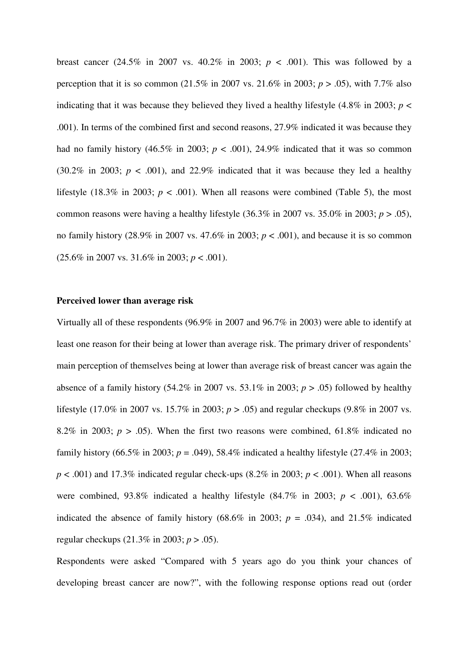breast cancer (24.5% in 2007 vs. 40.2% in 2003;  $p < .001$ ). This was followed by a perception that it is so common (21.5% in 2007 vs. 21.6% in 2003; *p* > .05), with 7.7% also indicating that it was because they believed they lived a healthy lifestyle  $(4.8\%$  in 2003;  $p <$ .001). In terms of the combined first and second reasons, 27.9% indicated it was because they had no family history (46.5% in 2003;  $p < .001$ ), 24.9% indicated that it was so common (30.2% in 2003;  $p < .001$ ), and 22.9% indicated that it was because they led a healthy lifestyle (18.3% in 2003;  $p < .001$ ). When all reasons were combined (Table 5), the most common reasons were having a healthy lifestyle  $(36.3\%$  in 2007 vs.  $35.0\%$  in 2003;  $p > .05$ ), no family history  $(28.9\%$  in 2007 vs. 47.6% in 2003;  $p < .001$ ), and because it is so common (25.6% in 2007 vs. 31.6% in 2003; *p* < .001).

#### **Perceived lower than average risk**

Virtually all of these respondents (96.9% in 2007 and 96.7% in 2003) were able to identify at least one reason for their being at lower than average risk. The primary driver of respondents' main perception of themselves being at lower than average risk of breast cancer was again the absence of a family history  $(54.2\% \text{ in } 2007 \text{ vs. } 53.1\% \text{ in } 2003; p > .05)$  followed by healthy lifestyle (17.0% in 2007 vs. 15.7% in 2003; *p* > .05) and regular checkups (9.8% in 2007 vs. 8.2% in 2003;  $p > 0.05$ ). When the first two reasons were combined, 61.8% indicated no family history (66.5% in 2003;  $p = .049$ ), 58.4% indicated a healthy lifestyle (27.4% in 2003;  $p < .001$ ) and 17.3% indicated regular check-ups (8.2% in 2003;  $p < .001$ ). When all reasons were combined, 93.8% indicated a healthy lifestyle  $(84.7\%$  in 2003;  $p < .001$ ), 63.6% indicated the absence of family history (68.6% in 2003;  $p = .034$ ), and 21.5% indicated regular checkups (21.3% in 2003; *p* > .05).

Respondents were asked "Compared with 5 years ago do you think your chances of developing breast cancer are now?", with the following response options read out (order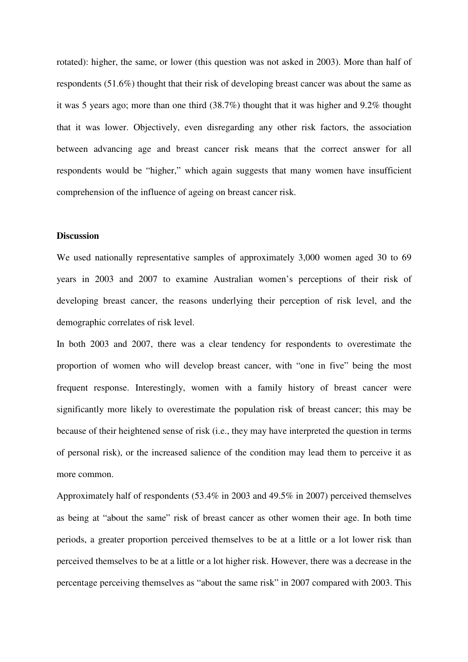rotated): higher, the same, or lower (this question was not asked in 2003). More than half of respondents (51.6%) thought that their risk of developing breast cancer was about the same as it was 5 years ago; more than one third (38.7%) thought that it was higher and 9.2% thought that it was lower. Objectively, even disregarding any other risk factors, the association between advancing age and breast cancer risk means that the correct answer for all respondents would be "higher," which again suggests that many women have insufficient comprehension of the influence of ageing on breast cancer risk.

#### **Discussion**

We used nationally representative samples of approximately 3,000 women aged 30 to 69 years in 2003 and 2007 to examine Australian women's perceptions of their risk of developing breast cancer, the reasons underlying their perception of risk level, and the demographic correlates of risk level.

In both 2003 and 2007, there was a clear tendency for respondents to overestimate the proportion of women who will develop breast cancer, with "one in five" being the most frequent response. Interestingly, women with a family history of breast cancer were significantly more likely to overestimate the population risk of breast cancer; this may be because of their heightened sense of risk (i.e., they may have interpreted the question in terms of personal risk), or the increased salience of the condition may lead them to perceive it as more common.

Approximately half of respondents (53.4% in 2003 and 49.5% in 2007) perceived themselves as being at "about the same" risk of breast cancer as other women their age. In both time periods, a greater proportion perceived themselves to be at a little or a lot lower risk than perceived themselves to be at a little or a lot higher risk. However, there was a decrease in the percentage perceiving themselves as "about the same risk" in 2007 compared with 2003. This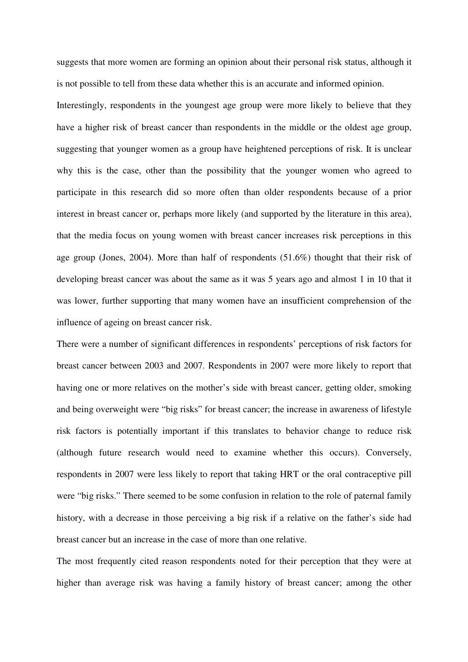suggests that more women are forming an opinion about their personal risk status, although it is not possible to tell from these data whether this is an accurate and informed opinion.

Interestingly, respondents in the youngest age group were more likely to believe that they have a higher risk of breast cancer than respondents in the middle or the oldest age group, suggesting that younger women as a group have heightened perceptions of risk. It is unclear why this is the case, other than the possibility that the younger women who agreed to participate in this research did so more often than older respondents because of a prior interest in breast cancer or, perhaps more likely (and supported by the literature in this area), that the media focus on young women with breast cancer increases risk perceptions in this age group (Jones, 2004). More than half of respondents (51.6%) thought that their risk of developing breast cancer was about the same as it was 5 years ago and almost 1 in 10 that it was lower, further supporting that many women have an insufficient comprehension of the influence of ageing on breast cancer risk.

There were a number of significant differences in respondents' perceptions of risk factors for breast cancer between 2003 and 2007. Respondents in 2007 were more likely to report that having one or more relatives on the mother's side with breast cancer, getting older, smoking and being overweight were "big risks" for breast cancer; the increase in awareness of lifestyle risk factors is potentially important if this translates to behavior change to reduce risk (although future research would need to examine whether this occurs). Conversely, respondents in 2007 were less likely to report that taking HRT or the oral contraceptive pill were "big risks." There seemed to be some confusion in relation to the role of paternal family history, with a decrease in those perceiving a big risk if a relative on the father's side had breast cancer but an increase in the case of more than one relative.

The most frequently cited reason respondents noted for their perception that they were at higher than average risk was having a family history of breast cancer; among the other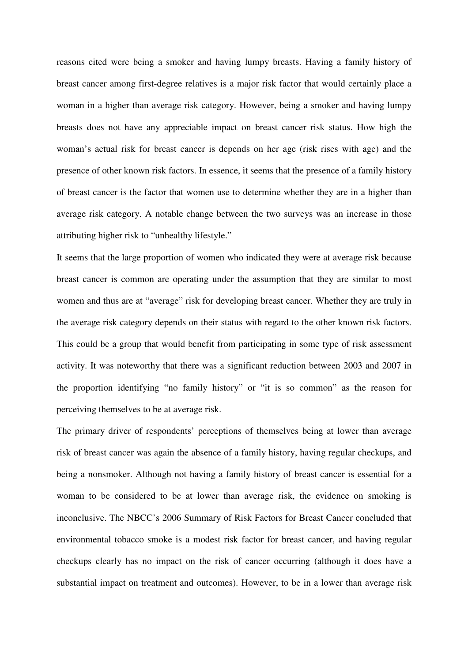reasons cited were being a smoker and having lumpy breasts. Having a family history of breast cancer among first-degree relatives is a major risk factor that would certainly place a woman in a higher than average risk category. However, being a smoker and having lumpy breasts does not have any appreciable impact on breast cancer risk status. How high the woman's actual risk for breast cancer is depends on her age (risk rises with age) and the presence of other known risk factors. In essence, it seems that the presence of a family history of breast cancer is the factor that women use to determine whether they are in a higher than average risk category. A notable change between the two surveys was an increase in those attributing higher risk to "unhealthy lifestyle."

It seems that the large proportion of women who indicated they were at average risk because breast cancer is common are operating under the assumption that they are similar to most women and thus are at "average" risk for developing breast cancer. Whether they are truly in the average risk category depends on their status with regard to the other known risk factors. This could be a group that would benefit from participating in some type of risk assessment activity. It was noteworthy that there was a significant reduction between 2003 and 2007 in the proportion identifying "no family history" or "it is so common" as the reason for perceiving themselves to be at average risk.

The primary driver of respondents' perceptions of themselves being at lower than average risk of breast cancer was again the absence of a family history, having regular checkups, and being a nonsmoker. Although not having a family history of breast cancer is essential for a woman to be considered to be at lower than average risk, the evidence on smoking is inconclusive. The NBCC's 2006 Summary of Risk Factors for Breast Cancer concluded that environmental tobacco smoke is a modest risk factor for breast cancer, and having regular checkups clearly has no impact on the risk of cancer occurring (although it does have a substantial impact on treatment and outcomes). However, to be in a lower than average risk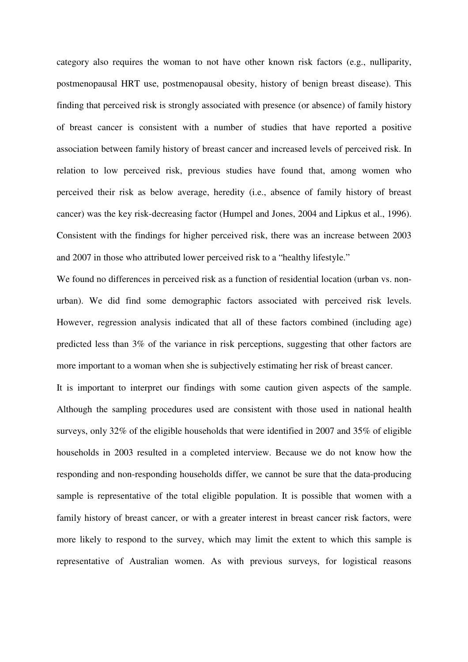category also requires the woman to not have other known risk factors (e.g., nulliparity, postmenopausal HRT use, postmenopausal obesity, history of benign breast disease). This finding that perceived risk is strongly associated with presence (or absence) of family history of breast cancer is consistent with a number of studies that have reported a positive association between family history of breast cancer and increased levels of perceived risk. In relation to low perceived risk, previous studies have found that, among women who perceived their risk as below average, heredity (i.e., absence of family history of breast cancer) was the key risk-decreasing factor (Humpel and Jones, 2004 and Lipkus et al., 1996). Consistent with the findings for higher perceived risk, there was an increase between 2003 and 2007 in those who attributed lower perceived risk to a "healthy lifestyle."

We found no differences in perceived risk as a function of residential location (urban vs. nonurban). We did find some demographic factors associated with perceived risk levels. However, regression analysis indicated that all of these factors combined (including age) predicted less than 3% of the variance in risk perceptions, suggesting that other factors are more important to a woman when she is subjectively estimating her risk of breast cancer.

It is important to interpret our findings with some caution given aspects of the sample. Although the sampling procedures used are consistent with those used in national health surveys, only 32% of the eligible households that were identified in 2007 and 35% of eligible households in 2003 resulted in a completed interview. Because we do not know how the responding and non-responding households differ, we cannot be sure that the data-producing sample is representative of the total eligible population. It is possible that women with a family history of breast cancer, or with a greater interest in breast cancer risk factors, were more likely to respond to the survey, which may limit the extent to which this sample is representative of Australian women. As with previous surveys, for logistical reasons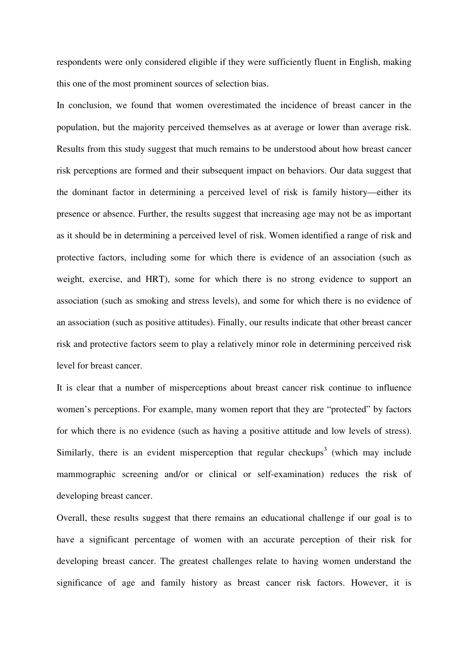respondents were only considered eligible if they were sufficiently fluent in English, making this one of the most prominent sources of selection bias.

In conclusion, we found that women overestimated the incidence of breast cancer in the population, but the majority perceived themselves as at average or lower than average risk. Results from this study suggest that much remains to be understood about how breast cancer risk perceptions are formed and their subsequent impact on behaviors. Our data suggest that the dominant factor in determining a perceived level of risk is family history—either its presence or absence. Further, the results suggest that increasing age may not be as important as it should be in determining a perceived level of risk. Women identified a range of risk and protective factors, including some for which there is evidence of an association (such as weight, exercise, and HRT), some for which there is no strong evidence to support an association (such as smoking and stress levels), and some for which there is no evidence of an association (such as positive attitudes). Finally, our results indicate that other breast cancer risk and protective factors seem to play a relatively minor role in determining perceived risk level for breast cancer.

It is clear that a number of misperceptions about breast cancer risk continue to influence women's perceptions. For example, many women report that they are "protected" by factors for which there is no evidence (such as having a positive attitude and low levels of stress). Similarly, there is an evident misperception that regular checkups<sup>3</sup> (which may include mammographic screening and/or or clinical or self-examination) reduces the risk of developing breast cancer.

Overall, these results suggest that there remains an educational challenge if our goal is to have a significant percentage of women with an accurate perception of their risk for developing breast cancer. The greatest challenges relate to having women understand the significance of age and family history as breast cancer risk factors. However, it is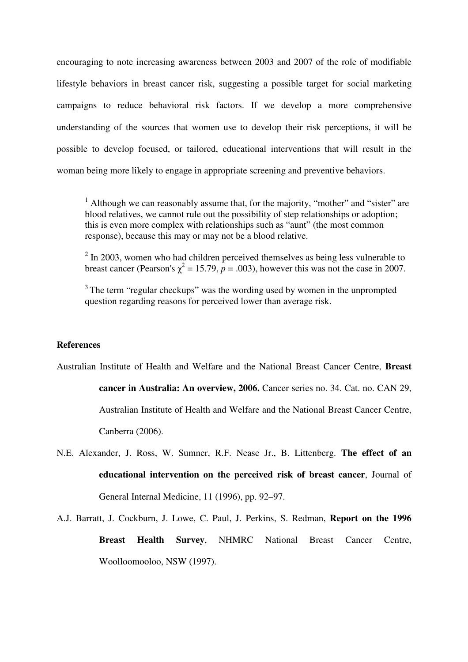encouraging to note increasing awareness between 2003 and 2007 of the role of modifiable lifestyle behaviors in breast cancer risk, suggesting a possible target for social marketing campaigns to reduce behavioral risk factors. If we develop a more comprehensive understanding of the sources that women use to develop their risk perceptions, it will be possible to develop focused, or tailored, educational interventions that will result in the woman being more likely to engage in appropriate screening and preventive behaviors.

<sup>1</sup> Although we can reasonably assume that, for the majority, "mother" and "sister" are blood relatives, we cannot rule out the possibility of step relationships or adoption; this is even more complex with relationships such as "aunt" (the most common response), because this may or may not be a blood relative.

 $2 \text{ In } 2003$ , women who had children perceived themselves as being less vulnerable to breast cancer (Pearson's  $\chi^2 = 15.79$ ,  $p = .003$ ), however this was not the case in 2007.

<sup>3</sup>The term "regular checkups" was the wording used by women in the unprompted question regarding reasons for perceived lower than average risk.

#### **References**

Australian Institute of Health and Welfare and the National Breast Cancer Centre, **Breast** 

**cancer in Australia: An overview, 2006.** Cancer series no. 34. Cat. no. CAN 29, Australian Institute of Health and Welfare and the National Breast Cancer Centre, Canberra (2006).

N.E. Alexander, J. Ross, W. Sumner, R.F. Nease Jr., B. Littenberg. **The effect of an educational intervention on the perceived risk of breast cancer**, Journal of General Internal Medicine, 11 (1996), pp. 92–97.

A.J. Barratt, J. Cockburn, J. Lowe, C. Paul, J. Perkins, S. Redman, **Report on the 1996 Breast Health Survey**, NHMRC National Breast Cancer Centre, Woolloomooloo, NSW (1997).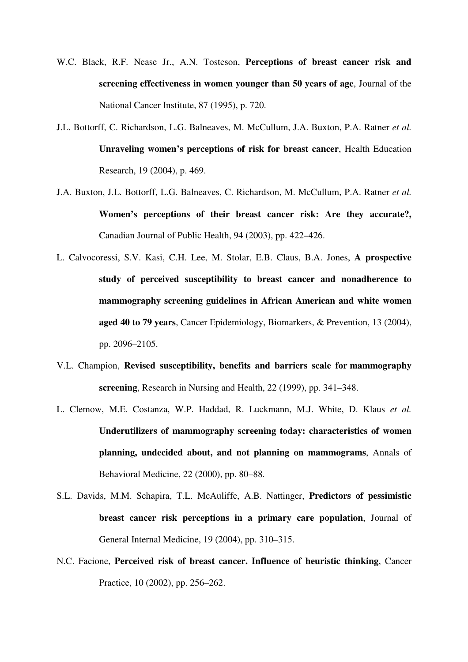- W.C. Black, R.F. Nease Jr., A.N. Tosteson, **Perceptions of breast cancer risk and screening effectiveness in women younger than 50 years of age**, Journal of the National Cancer Institute, 87 (1995), p. 720.
- J.L. Bottorff, C. Richardson, L.G. Balneaves, M. McCullum, J.A. Buxton, P.A. Ratner *et al.*  **Unraveling women's perceptions of risk for breast cancer**, Health Education Research, 19 (2004), p. 469.
- J.A. Buxton, J.L. Bottorff, L.G. Balneaves, C. Richardson, M. McCullum, P.A. Ratner *et al.*  **Women's perceptions of their breast cancer risk: Are they accurate?,**  Canadian Journal of Public Health, 94 (2003), pp. 422–426.
- L. Calvocoressi, S.V. Kasi, C.H. Lee, M. Stolar, E.B. Claus, B.A. Jones, **A prospective study of perceived susceptibility to breast cancer and nonadherence to mammography screening guidelines in African American and white women aged 40 to 79 years**, Cancer Epidemiology, Biomarkers, & Prevention, 13 (2004), pp. 2096–2105.
- V.L. Champion, **Revised susceptibility, benefits and barriers scale for mammography screening**, Research in Nursing and Health, 22 (1999), pp. 341–348.
- L. Clemow, M.E. Costanza, W.P. Haddad, R. Luckmann, M.J. White, D. Klaus *et al.*  **Underutilizers of mammography screening today: characteristics of women planning, undecided about, and not planning on mammograms**, Annals of Behavioral Medicine, 22 (2000), pp. 80–88.
- S.L. Davids, M.M. Schapira, T.L. McAuliffe, A.B. Nattinger, **Predictors of pessimistic breast cancer risk perceptions in a primary care population**, Journal of General Internal Medicine, 19 (2004), pp. 310–315.
- N.C. Facione, **Perceived risk of breast cancer. Influence of heuristic thinking**, Cancer Practice, 10 (2002), pp. 256–262.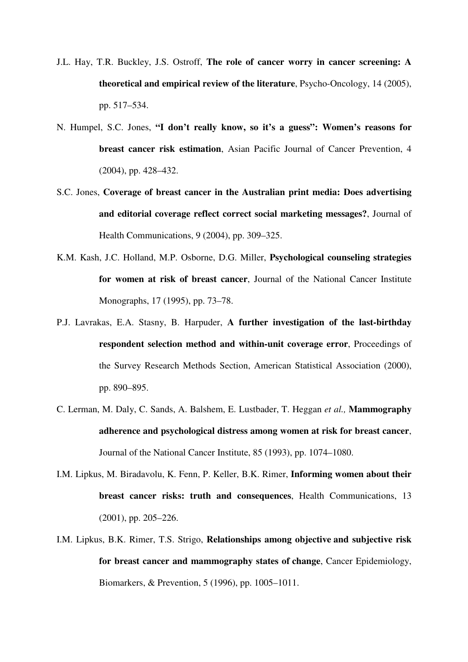- J.L. Hay, T.R. Buckley, J.S. Ostroff, **The role of cancer worry in cancer screening: A theoretical and empirical review of the literature**, Psycho-Oncology, 14 (2005), pp. 517–534.
- N. Humpel, S.C. Jones, **"I don't really know, so it's a guess": Women's reasons for breast cancer risk estimation**, Asian Pacific Journal of Cancer Prevention, 4 (2004), pp. 428–432.
- S.C. Jones, **Coverage of breast cancer in the Australian print media: Does advertising and editorial coverage reflect correct social marketing messages?**, Journal of Health Communications, 9 (2004), pp. 309–325.
- K.M. Kash, J.C. Holland, M.P. Osborne, D.G. Miller, **Psychological counseling strategies for women at risk of breast cancer**, Journal of the National Cancer Institute Monographs, 17 (1995), pp. 73–78.
- P.J. Lavrakas, E.A. Stasny, B. Harpuder, **A further investigation of the last-birthday respondent selection method and within-unit coverage error**, Proceedings of the Survey Research Methods Section, American Statistical Association (2000), pp. 890–895.
- C. Lerman, M. Daly, C. Sands, A. Balshem, E. Lustbader, T. Heggan *et al.,* **Mammography adherence and psychological distress among women at risk for breast cancer**, Journal of the National Cancer Institute, 85 (1993), pp. 1074–1080.
- I.M. Lipkus, M. Biradavolu, K. Fenn, P. Keller, B.K. Rimer, **Informing women about their breast cancer risks: truth and consequences**, Health Communications, 13 (2001), pp. 205–226.
- I.M. Lipkus, B.K. Rimer, T.S. Strigo, **Relationships among objective and subjective risk for breast cancer and mammography states of change**, Cancer Epidemiology, Biomarkers, & Prevention, 5 (1996), pp. 1005–1011.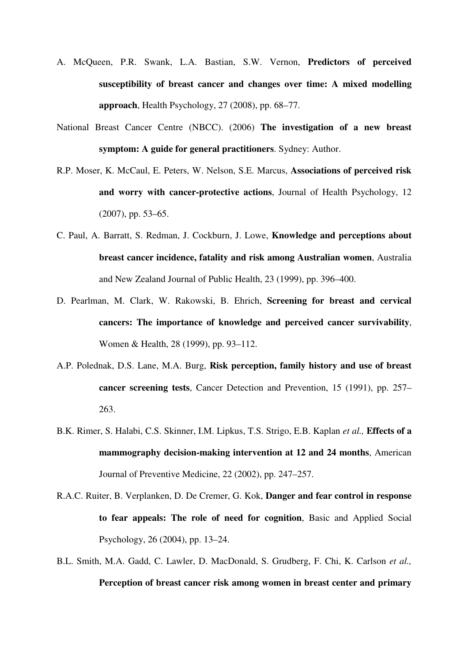- A. McQueen, P.R. Swank, L.A. Bastian, S.W. Vernon, **Predictors of perceived susceptibility of breast cancer and changes over time: A mixed modelling approach**, Health Psychology, 27 (2008), pp. 68–77.
- National Breast Cancer Centre (NBCC). (2006) **The investigation of a new breast symptom: A guide for general practitioners**. Sydney: Author.
- R.P. Moser, K. McCaul, E. Peters, W. Nelson, S.E. Marcus, **Associations of perceived risk and worry with cancer-protective actions**, Journal of Health Psychology, 12 (2007), pp. 53–65.
- C. Paul, A. Barratt, S. Redman, J. Cockburn, J. Lowe, **Knowledge and perceptions about breast cancer incidence, fatality and risk among Australian women**, Australia and New Zealand Journal of Public Health, 23 (1999), pp. 396–400.
- D. Pearlman, M. Clark, W. Rakowski, B. Ehrich, **Screening for breast and cervical cancers: The importance of knowledge and perceived cancer survivability**, Women & Health, 28 (1999), pp. 93–112.
- A.P. Polednak, D.S. Lane, M.A. Burg, **Risk perception, family history and use of breast cancer screening tests**, Cancer Detection and Prevention, 15 (1991), pp. 257– 263.
- B.K. Rimer, S. Halabi, C.S. Skinner, I.M. Lipkus, T.S. Strigo, E.B. Kaplan *et al.,* **Effects of a mammography decision-making intervention at 12 and 24 months**, American Journal of Preventive Medicine, 22 (2002), pp. 247–257.
- R.A.C. Ruiter, B. Verplanken, D. De Cremer, G. Kok, **Danger and fear control in response to fear appeals: The role of need for cognition**, Basic and Applied Social Psychology, 26 (2004), pp. 13–24.
- B.L. Smith, M.A. Gadd, C. Lawler, D. MacDonald, S. Grudberg, F. Chi, K. Carlson *et al.,*  **Perception of breast cancer risk among women in breast center and primary**